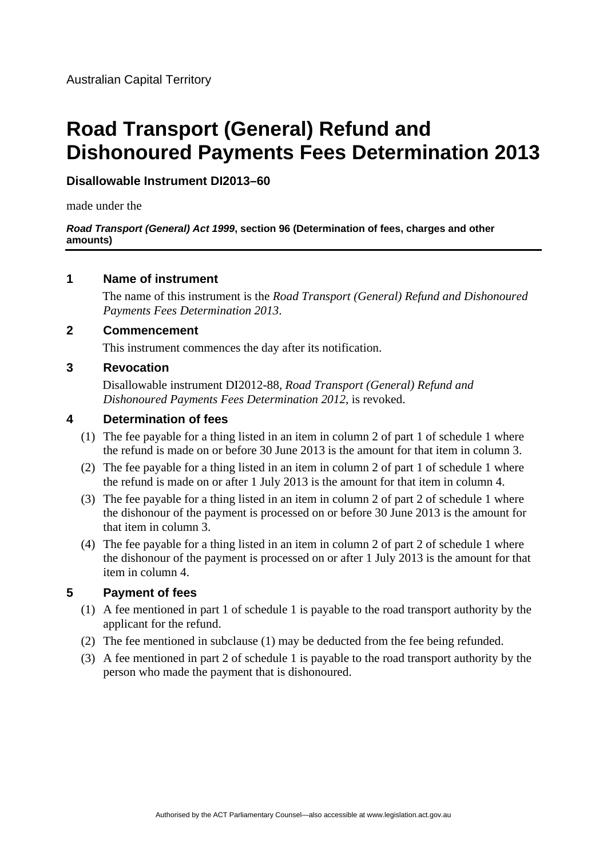# **Road Transport (General) Refund and Dishonoured Payments Fees Determination 2013**

### **Disallowable Instrument DI2013–60**

made under the

#### *Road Transport (General) Act 1999***, section 96 (Determination of fees, charges and other amounts)**

#### **1 Name of instrument**

The name of this instrument is the *Road Transport (General) Refund and Dishonoured Payments Fees Determination 2013*.

#### **2 Commencement**

This instrument commences the day after its notification.

### **3 Revocation**

Disallowable instrument DI2012-88, *Road Transport (General) Refund and Dishonoured Payments Fees Determination 2012*, is revoked.

#### **4 Determination of fees**

- (1) The fee payable for a thing listed in an item in column 2 of part 1 of schedule 1 where the refund is made on or before 30 June 2013 is the amount for that item in column 3.
- (2) The fee payable for a thing listed in an item in column 2 of part 1 of schedule 1 where the refund is made on or after 1 July 2013 is the amount for that item in column 4.
- (3) The fee payable for a thing listed in an item in column 2 of part 2 of schedule 1 where the dishonour of the payment is processed on or before 30 June 2013 is the amount for that item in column 3.
- (4) The fee payable for a thing listed in an item in column 2 of part 2 of schedule 1 where the dishonour of the payment is processed on or after 1 July 2013 is the amount for that item in column 4.

## **5 Payment of fees**

- (1) A fee mentioned in part 1 of schedule 1 is payable to the road transport authority by the applicant for the refund.
- (2) The fee mentioned in subclause (1) may be deducted from the fee being refunded.
- (3) A fee mentioned in part 2 of schedule 1 is payable to the road transport authority by the person who made the payment that is dishonoured.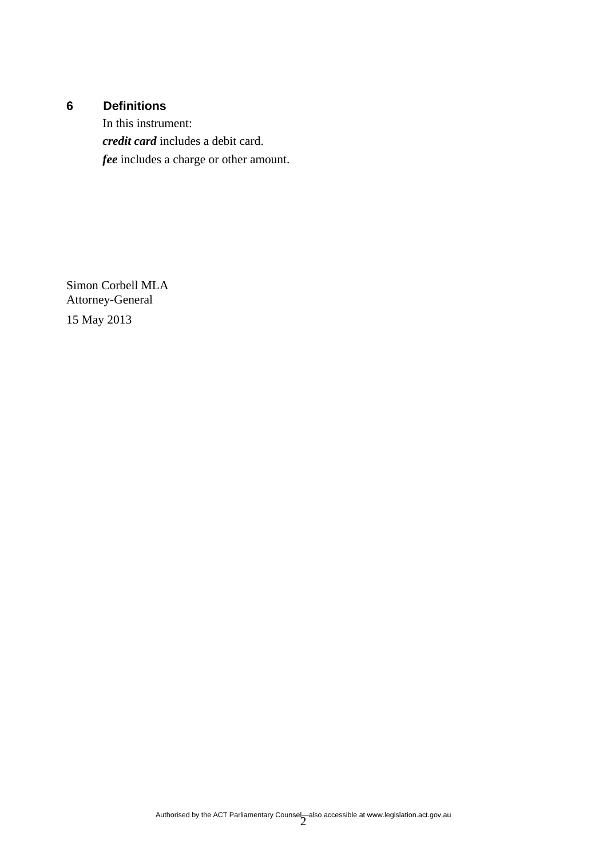# **6 Definitions**

In this instrument: *credit card* includes a debit card. *fee* includes a charge or other amount.

Simon Corbell MLA Attorney-General 15 May 2013